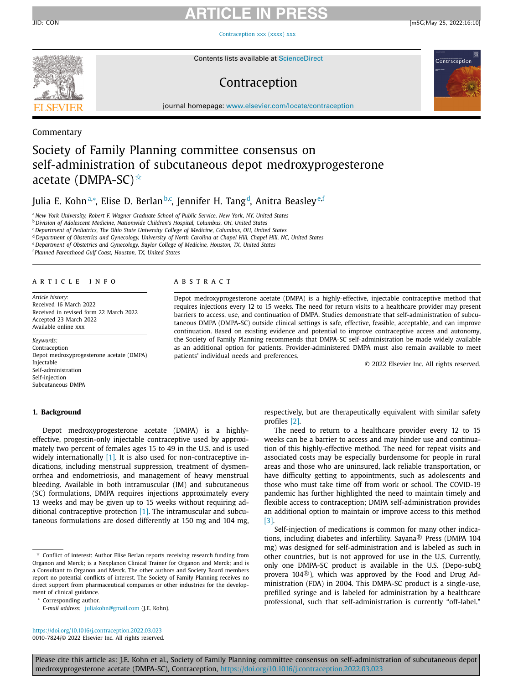# **ARTICLE IN PRESS**

[Contraception](https://doi.org/10.1016/j.contraception.2022.03.023) xxx (xxxx) xxx

Contents lists available at [ScienceDirect](http://www.ScienceDirect.com)

# Contraception

JID: CON [m5G;May 25, 2022;16:10]



journal homepage: [www.elsevier.com/locate/contraception](http://www.elsevier.com/locate/contraception)

# Commentary

# Society of Family Planning committee consensus on self-administration of subcutaneous depot medroxyprogesterone acetate (DMPA-SC) $\hat{X}$

Julia E. Kohnª,\*, Elise D. Berlan<sup>b,c</sup>, Jennifer H. Tang<sup>d</sup>, Anitra Beasley<sup>e,f</sup>

<sup>a</sup> *New York University, Robert F. Wagner Graduate School of Public Service, New York, NY, United States*

<sup>b</sup> *Division of Adolescent Medicine, Nationwide Children's Hospital, Columbus, OH, United States*

<sup>c</sup> *Department of Pediatrics, The Ohio State University College of Medicine, Columbus, OH, United States*

<sup>d</sup> Department of Obstetrics and Gynecology, University of North Carolina at Chapel Hill, Chapel Hill, NC, United States

<sup>e</sup> *Department of Obstetrics and Gynecology, Baylor College of Medicine, Houston, TX, United States*

<sup>f</sup> *Planned Parenthood Gulf Coast, Houston, TX, United States*

#### a r t i c l e i n f o

*Article history:* Received 16 March 2022 Received in revised form 22 March 2022 Accepted 23 March 2022 Available online xxx

*Keywords:* Contraception Depot medroxyprogesterone acetate (DMPA) Injectable Self-administration Self-injection Subcutaneous DMPA

# **1. Background**

# a b s t r a c t

Depot medroxyprogesterone acetate (DMPA) is a highly-effective, injectable contraceptive method that requires injections every 12 to 15 weeks. The need for return visits to a healthcare provider may present barriers to access, use, and continuation of DMPA. Studies demonstrate that self-administration of subcutaneous DMPA (DMPA-SC) outside clinical settings is safe, effective, feasible, acceptable, and can improve continuation. Based on existing evidence and potential to improve contraceptive access and autonomy, the Society of Family Planning recommends that DMPA-SC self-administration be made widely available as an additional option for patients. Provider-administered DMPA must also remain available to meet patients' individual needs and preferences.

© 2022 Elsevier Inc. All rights reserved.

Depot medroxyprogesterone acetate (DMPA) is a highlyeffective, progestin-only injectable contraceptive used by approximately two percent of females ages 15 to 49 in the U.S. and is used widely internationally  $[1]$ . It is also used for non-contraceptive indications, including menstrual suppression, treatment of dysmenorrhea and endometriosis, and management of heavy menstrual bleeding. Available in both intramuscular (IM) and subcutaneous (SC) formulations, DMPA requires injections approximately every 13 weeks and may be given up to 15 weeks without requiring additional contraceptive protection [\[1\].](#page-2-0) The intramuscular and subcutaneous formulations are dosed differently at 150 mg and 104 mg,

<sup>∗</sup> Corresponding author.

<https://doi.org/10.1016/j.contraception.2022.03.023> 0010-7824/© 2022 Elsevier Inc. All rights reserved. respectively, but are therapeutically equivalent with similar safety profiles [\[2\].](#page-2-0)

The need to return to a healthcare provider every 12 to 15 weeks can be a barrier to access and may hinder use and continuation of this highly-effective method. The need for repeat visits and associated costs may be especially burdensome for people in rural areas and those who are uninsured, lack reliable transportation, or have difficulty getting to appointments, such as adolescents and those who must take time off from work or school. The COVID-19 pandemic has further highlighted the need to maintain timely and flexible access to contraception; DMPA self-administration provides an additional option to maintain or improve access to this method [\[3\].](#page-2-0)

Self-injection of medications is common for many other indications, including diabetes and infertility. Sayana $\mathbb B$  Press (DMPA 104 mg) was designed for self-administration and is labeled as such in other countries, but is not approved for use in the U.S. Currently, only one DMPA-SC product is available in the U.S. (Depo-subQ provera 104 $\mathbb{R}$ ), which was approved by the Food and Drug Administration (FDA) in 2004. This DMPA-SC product is a single-use, prefilled syringe and is labeled for administration by a healthcare professional, such that self-administration is currently "off-label."

Please cite this article as: J.E. Kohn et al., Society of Family Planning committee consensus on self-administration of subcutaneous depot medroxyprogesterone acetate (DMPA-SC), Contraception, <https://doi.org/10.1016/j.contraception.2022.03.023>

 $\phi$  Conflict of interest: Author Elise Berlan reports receiving research funding from Organon and Merck; is a Nexplanon Clinical Trainer for Organon and Merck; and is a Consultant to Organon and Merck. The other authors and Society Board members report no potential conflicts of interest. The Society of Family Planning receives no direct support from pharmaceutical companies or other industries for the development of clinical guidance.

*E-mail address:* [juliakohn@gmail.com](mailto:juliakohn@gmail.com) (J.E. Kohn).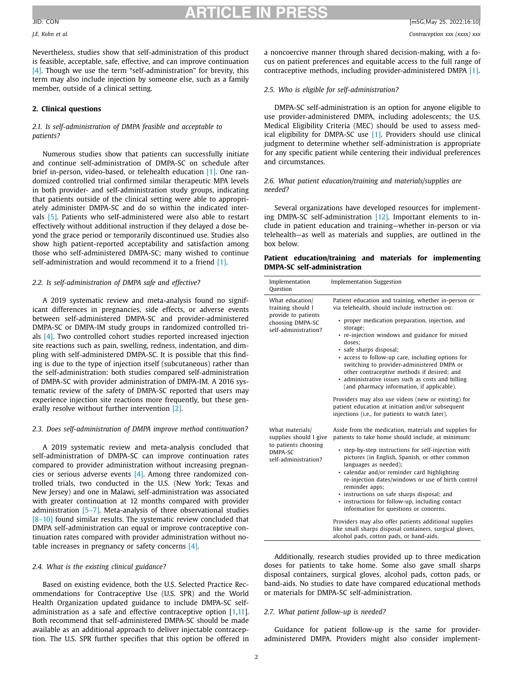# **ARTICLE IN PRESS** JID: CON [m5G;May 25, 2022;16:10]

Nevertheless, studies show that self-administration of this product is feasible, acceptable, safe, effective, and can improve continuation [\[4\].](#page-2-0) Though we use the term "self-administration" for brevity, this term may also include injection by someone else, such as a family member, outside of a clinical setting.

# **2. Clinical questions**

# *2.1. Is self-administration of DMPA feasible and acceptable to patients?*

Numerous studies show that patients can successfully initiate and continue self-administration of DMPA-SC on schedule after brief in-person, video-based, or telehealth education [\[1\].](#page-2-0) One randomized controlled trial confirmed similar therapeutic MPA levels in both provider- and self-administration study groups, indicating that patients outside of the clinical setting were able to appropriately administer DMPA-SC and do so within the indicated intervals [\[5\].](#page-2-0) Patients who self-administered were also able to restart effectively without additional instruction if they delayed a dose beyond the grace period or temporarily discontinued use. Studies also show high patient-reported acceptability and satisfaction among those who self-administered DMPA-SC; many wished to continue self-administration and would recommend it to a friend [\[1\].](#page-2-0)

# *2.2. Is self-administration of DMPA safe and effective?*

A 2019 systematic review and meta-analysis found no significant differences in pregnancies, side effects, or adverse events between self-administered DMPA-SC and provider-administered DMPA-SC or DMPA-IM study groups in randomized controlled trials [\[4\].](#page-2-0) Two controlled cohort studies reported increased injection site reactions such as pain, swelling, redness, indentation, and dimpling with self-administered DMPA-SC. It is possible that this finding is due to the type of injection itself (subcutaneous) rather than the self-administration: both studies compared self-administration of DMPA-SC with provider administration of DMPA-IM. A 2016 systematic review of the safety of DMPA-SC reported that users may experience injection site reactions more frequently, but these generally resolve without further intervention [\[2\].](#page-2-0)

# *2.3. Does self-administration of DMPA improve method continuation?*

A 2019 systematic review and meta-analysis concluded that self-administration of DMPA-SC can improve continuation rates compared to provider administration without increasing pregnancies or serious adverse events [\[4\].](#page-2-0) Among three randomized controlled trials, two conducted in the U.S. (New York; Texas and New Jersey) and one in Malawi, self-administration was associated with greater continuation at 12 months compared with provider administration [\[5–7\].](#page-2-0) Meta-analysis of three observational studies [8-10] found similar results. The systematic review concluded that DMPA self-administration can equal or improve contraceptive continuation rates compared with provider administration without notable increases in pregnancy or safety concerns [\[4\].](#page-2-0)

### *2.4. What is the existing clinical guidance?*

Based on existing evidence, both the U.S. Selected Practice Recommendations for Contraceptive Use (U.S. SPR) and the World Health Organization updated guidance to include DMPA-SC selfadministration as a safe and effective contraceptive option [\[1,11\]](#page-2-0). Both recommend that self-administered DMPA-SC should be made available as an additional approach to deliver injectable contraception. The U.S. SPR further specifies that this option be offered in a noncoercive manner through shared decision-making, with a focus on patient preferences and equitable access to the full range of contraceptive methods, including provider-administered DMPA [\[1\].](#page-2-0)

### *2.5. Who is eligible for self-administration?*

DMPA-SC self-administration is an option for anyone eligible to use provider-administered DMPA, including adolescents; the U.S. Medical Eligibility Criteria (MEC) should be used to assess medical eligibility for DMPA-SC use [\[1\].](#page-2-0) Providers should use clinical judgment to determine whether self-administration is appropriate for any specific patient while centering their individual preferences and circumstances.

# *2.6. What patient education/training and materials/supplies are needed?*

Several organizations have developed resources for implementing DMPA-SC self-administration [\[12\].](#page-2-0) Important elements to include in patient education and training—whether in-person or via telehealth—as well as materials and supplies, are outlined in the box below.

| Patient education/training and materials for implementing |  |  |
|-----------------------------------------------------------|--|--|
| DMPA-SC self-administration                               |  |  |

| Implementation<br>Ouestion                                                                              | <b>Implementation Suggestion</b>                                                                                                                                                                                                                                                                                                                                                                                                                                                                                  |
|---------------------------------------------------------------------------------------------------------|-------------------------------------------------------------------------------------------------------------------------------------------------------------------------------------------------------------------------------------------------------------------------------------------------------------------------------------------------------------------------------------------------------------------------------------------------------------------------------------------------------------------|
| What education/<br>training should I<br>provide to patients<br>choosing DMPA-SC<br>self-administration? | Patient education and training, whether in-person or<br>via telehealth, should include instruction on:<br>• proper medication preparation, injection, and<br>storage;<br>• re-injection windows and guidance for missed<br>doses:<br>· safe sharps disposal;<br>• access to follow-up care, including options for<br>switching to provider-administered DMPA or<br>other contraceptive methods if desired; and<br>· administrative issues such as costs and billing<br>(and pharmacy information, if applicable). |
|                                                                                                         | Providers may also use videos (new or existing) for<br>patient education at initiation and/or subsequent<br>injections (i.e., for patients to watch later).                                                                                                                                                                                                                                                                                                                                                       |
| What materials/<br>supplies should I give<br>to patients choosing<br>DMPA-SC<br>self-administration?    | Aside from the medication, materials and supplies for<br>patients to take home should include, at minimum:<br>• step-by-step instructions for self-injection with<br>pictures (in English, Spanish, or other common<br>languages as needed);<br>· calendar and/or reminder card highlighting<br>re-injection dates/windows or use of birth control<br>reminder apps:<br>• instructions on safe sharps disposal; and<br>· instructions for follow-up, including contact<br>information for questions or concerns.  |
|                                                                                                         | Providers may also offer patients additional supplies<br>like small sharps disposal containers, surgical gloves,<br>alcohol pads, cotton pads, or band-aids.                                                                                                                                                                                                                                                                                                                                                      |

Additionally, research studies provided up to three medication doses for patients to take home. Some also gave small sharps disposal containers, surgical gloves, alcohol pads, cotton pads, or band-aids. No studies to date have compared educational methods or materials for DMPA-SC self-administration.

# *2.7. What patient follow-up is needed?*

Guidance for patient follow-up is the same for provideradministered DMPA. Providers might also consider implement-